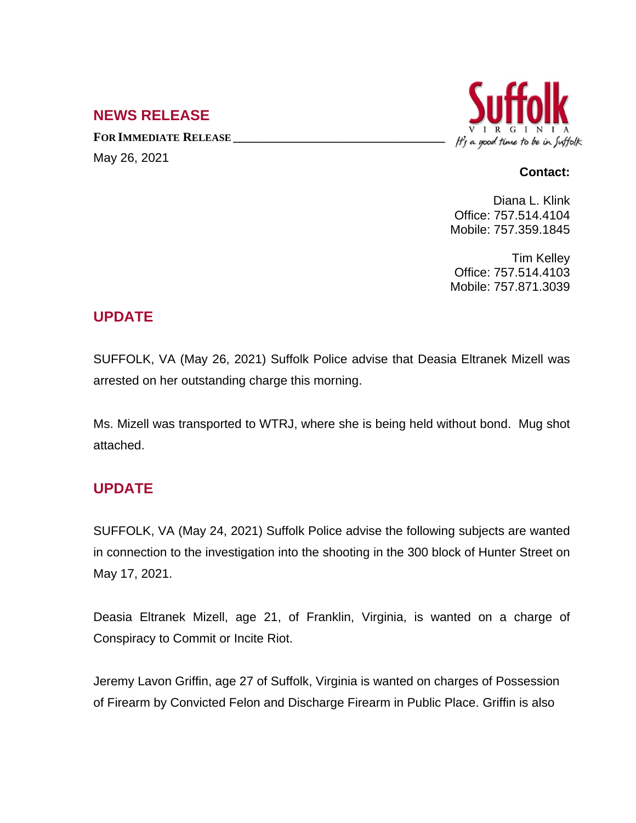## **NEWS RELEASE**

**FOR IMMEDIATE RELEASE \_\_\_\_\_\_\_\_\_\_\_\_\_\_\_\_\_\_\_\_\_\_\_\_\_\_\_\_\_\_\_\_\_\_** May 26, 2021



#### **Contact:**

Diana L. Klink Office: 757.514.4104 Mobile: 757.359.1845

Tim Kelley Office: 757.514.4103 Mobile: 757.871.3039

# **UPDATE**

SUFFOLK, VA (May 26, 2021) Suffolk Police advise that Deasia Eltranek Mizell was arrested on her outstanding charge this morning.

Ms. Mizell was transported to WTRJ, where she is being held without bond. Mug shot attached.

### **UPDATE**

SUFFOLK, VA (May 24, 2021) Suffolk Police advise the following subjects are wanted in connection to the investigation into the shooting in the 300 block of Hunter Street on May 17, 2021.

Deasia Eltranek Mizell, age 21, of Franklin, Virginia, is wanted on a charge of Conspiracy to Commit or Incite Riot.

Jeremy Lavon Griffin, age 27 of Suffolk, Virginia is wanted on charges of Possession of Firearm by Convicted Felon and Discharge Firearm in Public Place. Griffin is also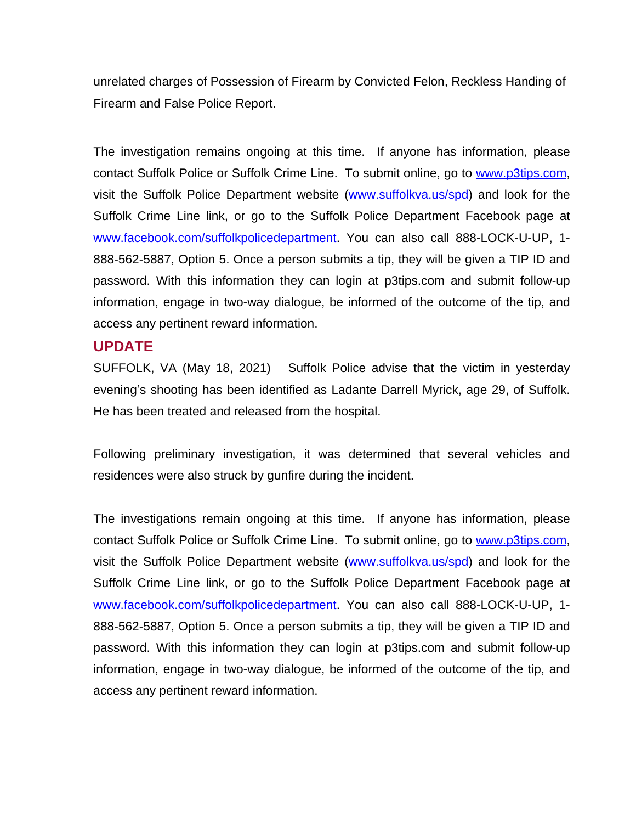unrelated charges of Possession of Firearm by Convicted Felon, Reckless Handing of Firearm and False Police Report.

The investigation remains ongoing at this time. If anyone has information, please contact Suffolk Police or Suffolk Crime Line. To submit online, go to [www.p3tips.com,](http://www.p3tips.com) visit the Suffolk Police Department website ([www.suffolkva.us/spd](http://www.suffolkva.us/spd)) and look for the Suffolk Crime Line link, or go to the Suffolk Police Department Facebook page at [www.facebook.com/suffolkpolicedepartment](http://www.facebook.com/suffolkpolicedepartment). You can also call 888-LOCK-U-UP, 1-888-562-5887, Option 5. Once a person submits a tip, they will be given a TIP ID and password. With this information they can login at p3tips.com and submit follow-up information, engage in two-way dialogue, be informed of the outcome of the tip, and access any pertinent reward information.

#### **UPDATE**

SUFFOLK, VA (May 18, 2021) Suffolk Police advise that the victim in yesterday evening's shooting has been identified as Ladante Darrell Myrick, age 29, of Suffolk. He has been treated and released from the hospital.

Following preliminary investigation, it was determined that several vehicles and residences were also struck by gunfire during the incident.

The investigations remain ongoing at this time. If anyone has information, please contact Suffolk Police or Suffolk Crime Line. To submit online, go to [www.p3tips.com,](http://www.p3tips.com) visit the Suffolk Police Department website ([www.suffolkva.us/spd](http://www.suffolkva.us/spd)) and look for the Suffolk Crime Line link, or go to the Suffolk Police Department Facebook page at [www.facebook.com/suffolkpolicedepartment](http://www.facebook.com/suffolkpolicedepartment). You can also call 888-LOCK-U-UP, 1-888-562-5887, Option 5. Once a person submits a tip, they will be given a TIP ID and password. With this information they can login at p3tips.com and submit follow-up information, engage in two-way dialogue, be informed of the outcome of the tip, and access any pertinent reward information.